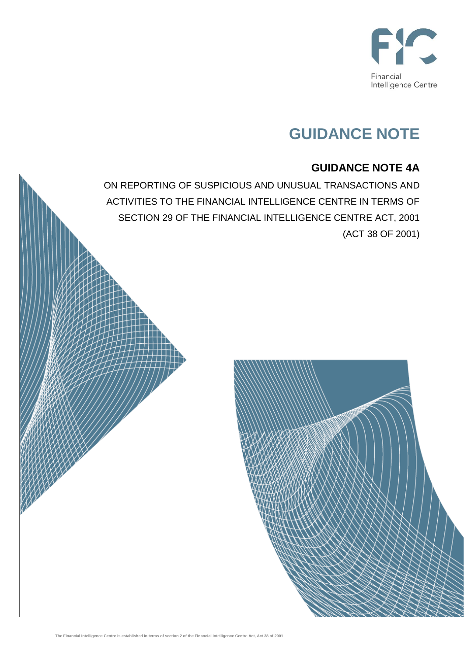

# **GUIDANCE NOTE**

## **GUIDANCE NOTE 4A**

ON REPORTING OF SUSPICIOUS AND UNUSUAL TRANSACTIONS AND ACTIVITIES TO THE FINANCIAL INTELLIGENCE CENTRE IN TERMS OF SECTION 29 OF THE FINANCIAL INTELLIGENCE CENTRE ACT, 2001 (ACT 38 OF 2001)

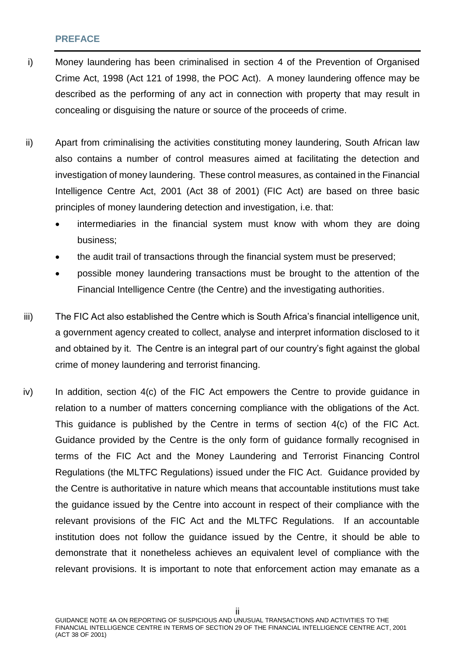#### <span id="page-1-0"></span>**PREFACE**

- i) Money laundering has been criminalised in section 4 of the Prevention of Organised Crime Act, 1998 (Act 121 of 1998, the POC Act). A money laundering offence may be described as the performing of any act in connection with property that may result in concealing or disguising the nature or source of the proceeds of crime.
- ii) Apart from criminalising the activities constituting money laundering, South African law also contains a number of control measures aimed at facilitating the detection and investigation of money laundering. These control measures, as contained in the Financial Intelligence Centre Act, 2001 (Act 38 of 2001) (FIC Act) are based on three basic principles of money laundering detection and investigation, i.e. that:
	- intermediaries in the financial system must know with whom they are doing business;
	- the audit trail of transactions through the financial system must be preserved;
	- possible money laundering transactions must be brought to the attention of the Financial Intelligence Centre (the Centre) and the investigating authorities.
- iii) The FIC Act also established the Centre which is South Africa's financial intelligence unit, a government agency created to collect, analyse and interpret information disclosed to it and obtained by it. The Centre is an integral part of our country's fight against the global crime of money laundering and terrorist financing.
- $iv)$  In addition, section  $4(c)$  of the FIC Act empowers the Centre to provide quidance in relation to a number of matters concerning compliance with the obligations of the Act. This guidance is published by the Centre in terms of section 4(c) of the FIC Act. Guidance provided by the Centre is the only form of guidance formally recognised in terms of the FIC Act and the Money Laundering and Terrorist Financing Control Regulations (the MLTFC Regulations) issued under the FIC Act. Guidance provided by the Centre is authoritative in nature which means that accountable institutions must take the guidance issued by the Centre into account in respect of their compliance with the relevant provisions of the FIC Act and the MLTFC Regulations. If an accountable institution does not follow the guidance issued by the Centre, it should be able to demonstrate that it nonetheless achieves an equivalent level of compliance with the relevant provisions. It is important to note that enforcement action may emanate as a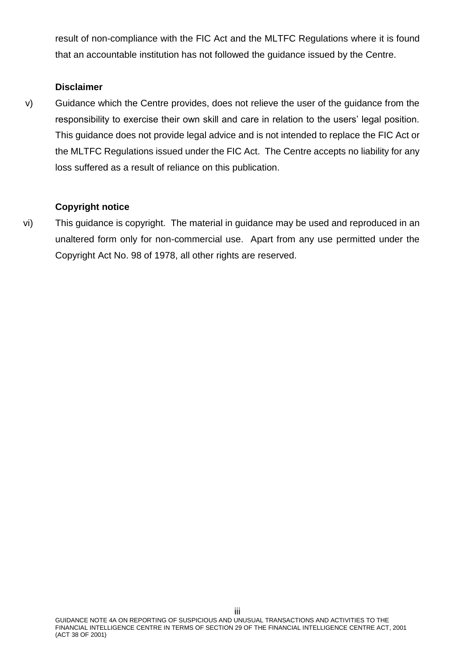result of non-compliance with the FIC Act and the MLTFC Regulations where it is found that an accountable institution has not followed the guidance issued by the Centre.

## **Disclaimer**

v) Guidance which the Centre provides, does not relieve the user of the guidance from the responsibility to exercise their own skill and care in relation to the users' legal position. This guidance does not provide legal advice and is not intended to replace the FIC Act or the MLTFC Regulations issued under the FIC Act. The Centre accepts no liability for any loss suffered as a result of reliance on this publication.

## **Copyright notice**

vi) This guidance is copyright. The material in guidance may be used and reproduced in an unaltered form only for non-commercial use. Apart from any use permitted under the Copyright Act No. 98 of 1978, all other rights are reserved.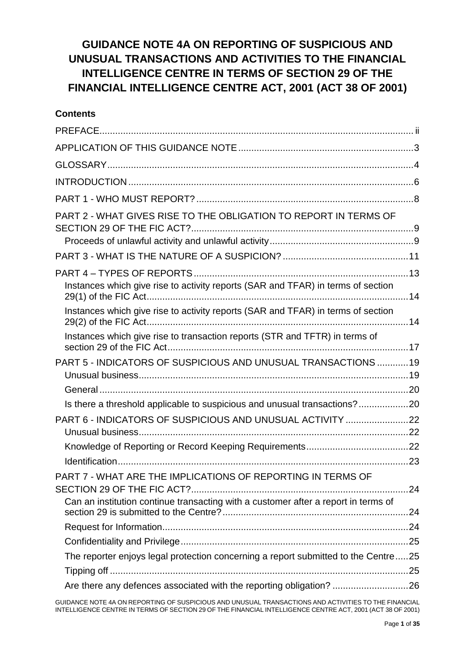## **GUIDANCE NOTE 4A ON REPORTING OF SUSPICIOUS AND UNUSUAL TRANSACTIONS AND ACTIVITIES TO THE FINANCIAL INTELLIGENCE CENTRE IN TERMS OF SECTION 29 OF THE FINANCIAL INTELLIGENCE CENTRE ACT, 2001 (ACT 38 OF 2001)**

## **Contents**

| PART 2 - WHAT GIVES RISE TO THE OBLIGATION TO REPORT IN TERMS OF                                                                                          |  |
|-----------------------------------------------------------------------------------------------------------------------------------------------------------|--|
|                                                                                                                                                           |  |
|                                                                                                                                                           |  |
| Instances which give rise to activity reports (SAR and TFAR) in terms of section                                                                          |  |
| Instances which give rise to activity reports (SAR and TFAR) in terms of section                                                                          |  |
| Instances which give rise to transaction reports (STR and TFTR) in terms of                                                                               |  |
| PART 5 - INDICATORS OF SUSPICIOUS AND UNUSUAL TRANSACTIONS  19                                                                                            |  |
|                                                                                                                                                           |  |
| Is there a threshold applicable to suspicious and unusual transactions?20                                                                                 |  |
| PART 6 - INDICATORS OF SUSPICIOUS AND UNUSUAL ACTIVITY 22                                                                                                 |  |
|                                                                                                                                                           |  |
|                                                                                                                                                           |  |
| PART 7 - WHAT ARE THE IMPLICATIONS OF REPORTING IN TERMS OF                                                                                               |  |
| Can an institution continue transacting with a customer after a report in terms of                                                                        |  |
|                                                                                                                                                           |  |
|                                                                                                                                                           |  |
|                                                                                                                                                           |  |
| The reporter enjoys legal protection concerning a report submitted to the Centre25<br>Are there any defences associated with the reporting obligation? 26 |  |

GUIDANCE NOTE 4A ON REPORTING OF SUSPICIOUS AND UNUSUAL TRANSACTIONS AND ACTIVITIES TO THE FINANCIAL INTELLIGENCE CENTRE IN TERMS OF SECTION 29 OF THE FINANCIAL INTELLIGENCE CENTRE ACT, 2001 (ACT 38 OF 2001)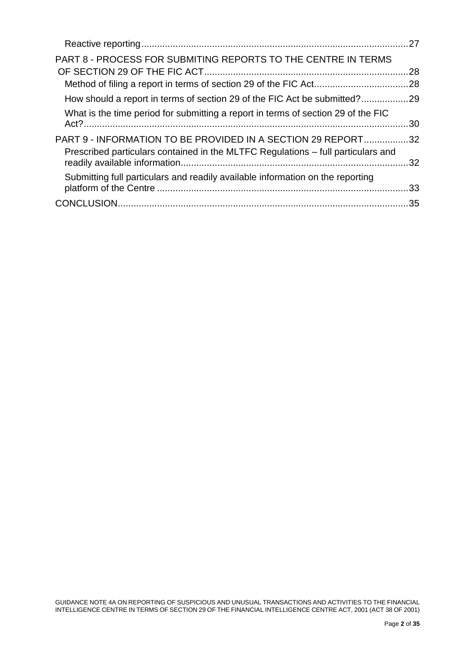| <b>PART 8 - PROCESS FOR SUBMITING REPORTS TO THE CENTRE IN TERMS</b>                                                                             | .28 |
|--------------------------------------------------------------------------------------------------------------------------------------------------|-----|
|                                                                                                                                                  |     |
| How should a report in terms of section 29 of the FIC Act be submitted?29                                                                        |     |
| What is the time period for submitting a report in terms of section 29 of the FIC                                                                |     |
| PART 9 - INFORMATION TO BE PROVIDED IN A SECTION 29 REPORT32<br>Prescribed particulars contained in the MLTFC Regulations – full particulars and |     |
| Submitting full particulars and readily available information on the reporting                                                                   |     |
|                                                                                                                                                  |     |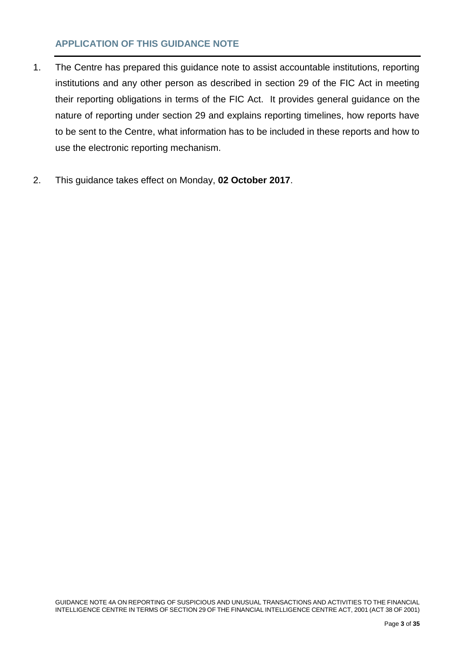## <span id="page-5-0"></span>**APPLICATION OF THIS GUIDANCE NOTE**

- 1. The Centre has prepared this guidance note to assist accountable institutions, reporting institutions and any other person as described in section 29 of the FIC Act in meeting their reporting obligations in terms of the FIC Act. It provides general guidance on the nature of reporting under section 29 and explains reporting timelines, how reports have to be sent to the Centre, what information has to be included in these reports and how to use the electronic reporting mechanism.
- 2. This guidance takes effect on Monday, **02 October 2017**.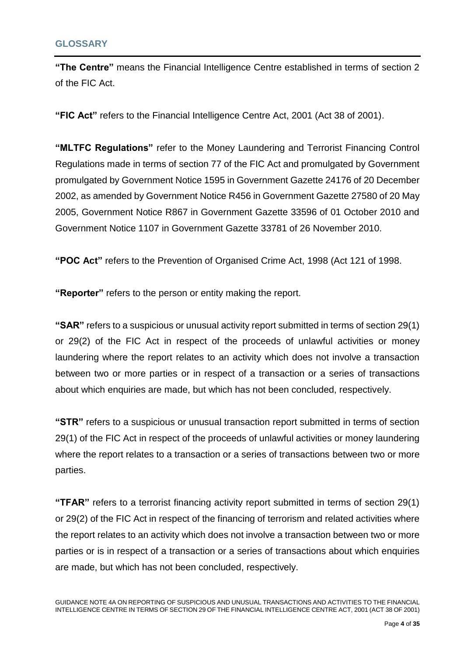<span id="page-6-0"></span>**"The Centre"** means the Financial Intelligence Centre established in terms of section 2 of the FIC Act.

**"FIC Act"** refers to the Financial Intelligence Centre Act, 2001 (Act 38 of 2001).

**"MLTFC Regulations"** refer to the Money Laundering and Terrorist Financing Control Regulations made in terms of section 77 of the FIC Act and promulgated by Government promulgated by Government Notice 1595 in Government Gazette 24176 of 20 December 2002, as amended by Government Notice R456 in Government Gazette 27580 of 20 May 2005, Government Notice R867 in Government Gazette 33596 of 01 October 2010 and Government Notice 1107 in Government Gazette 33781 of 26 November 2010.

**"POC Act"** refers to the Prevention of Organised Crime Act, 1998 (Act 121 of 1998.

**"Reporter"** refers to the person or entity making the report.

**"SAR"** refers to a suspicious or unusual activity report submitted in terms of section 29(1) or 29(2) of the FIC Act in respect of the proceeds of unlawful activities or money laundering where the report relates to an activity which does not involve a transaction between two or more parties or in respect of a transaction or a series of transactions about which enquiries are made, but which has not been concluded, respectively.

**"STR"** refers to a suspicious or unusual transaction report submitted in terms of section 29(1) of the FIC Act in respect of the proceeds of unlawful activities or money laundering where the report relates to a transaction or a series of transactions between two or more parties.

**"TFAR"** refers to a terrorist financing activity report submitted in terms of section 29(1) or 29(2) of the FIC Act in respect of the financing of terrorism and related activities where the report relates to an activity which does not involve a transaction between two or more parties or is in respect of a transaction or a series of transactions about which enquiries are made, but which has not been concluded, respectively.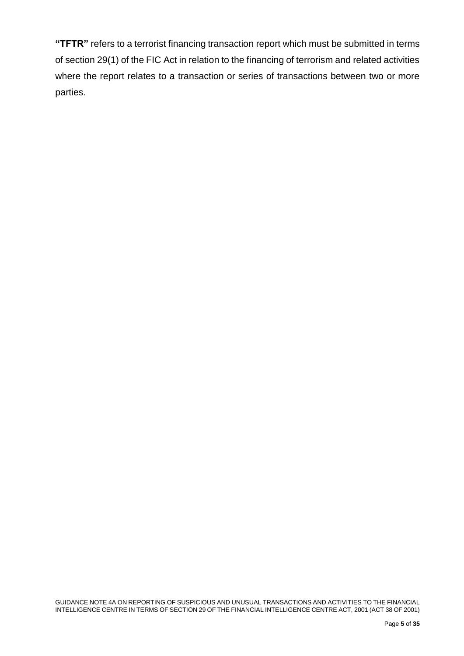**"TFTR"** refers to a terrorist financing transaction report which must be submitted in terms of section 29(1) of the FIC Act in relation to the financing of terrorism and related activities where the report relates to a transaction or series of transactions between two or more parties.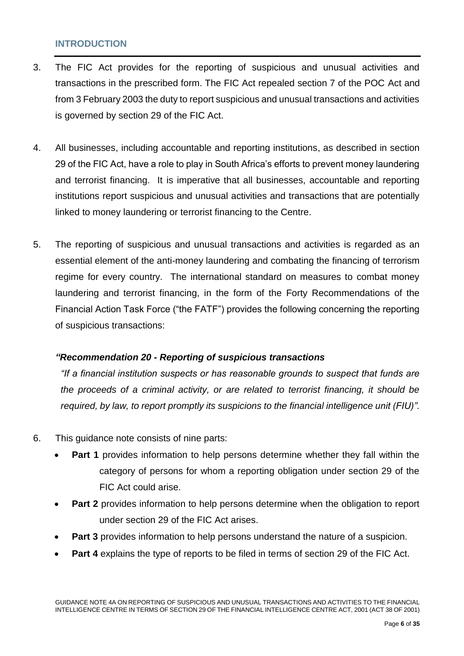## <span id="page-8-0"></span>**INTRODUCTION**

- 3. The FIC Act provides for the reporting of suspicious and unusual activities and transactions in the prescribed form. The FIC Act repealed section 7 of the POC Act and from 3 February 2003 the duty to report suspicious and unusual transactions and activities is governed by section 29 of the FIC Act.
- 4. All businesses, including accountable and reporting institutions, as described in section 29 of the FIC Act, have a role to play in South Africa's efforts to prevent money laundering and terrorist financing. It is imperative that all businesses, accountable and reporting institutions report suspicious and unusual activities and transactions that are potentially linked to money laundering or terrorist financing to the Centre.
- 5. The reporting of suspicious and unusual transactions and activities is regarded as an essential element of the anti-money laundering and combating the financing of terrorism regime for every country. The international standard on measures to combat money laundering and terrorist financing, in the form of the Forty Recommendations of the Financial Action Task Force ("the FATF") provides the following concerning the reporting of suspicious transactions:

### *"Recommendation 20 - Reporting of suspicious transactions*

*"If a financial institution suspects or has reasonable grounds to suspect that funds are the proceeds of a criminal activity, or are related to terrorist financing, it should be required, by law, to report promptly its suspicions to the financial intelligence unit (FIU)".* 

- 6. This guidance note consists of nine parts:
	- **Part 1** provides information to help persons determine whether they fall within the category of persons for whom a reporting obligation under section 29 of the FIC Act could arise.
	- **Part 2** provides information to help persons determine when the obligation to report under section 29 of the FIC Act arises.
	- **Part 3** provides information to help persons understand the nature of a suspicion.
	- **Part 4** explains the type of reports to be filed in terms of section 29 of the FIC Act.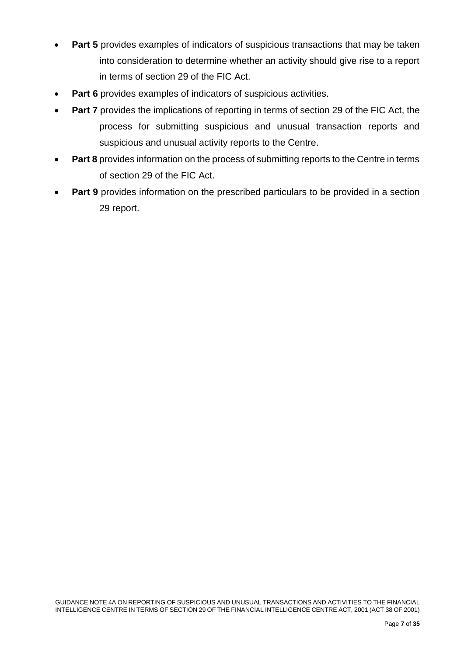- **Part 5** provides examples of indicators of suspicious transactions that may be taken into consideration to determine whether an activity should give rise to a report in terms of section 29 of the FIC Act.
- **Part 6** provides examples of indicators of suspicious activities.
- **Part 7** provides the implications of reporting in terms of section 29 of the FIC Act, the process for submitting suspicious and unusual transaction reports and suspicious and unusual activity reports to the Centre.
- **Part 8** provides information on the process of submitting reports to the Centre in terms of section 29 of the FIC Act.
- **Part 9** provides information on the prescribed particulars to be provided in a section 29 report.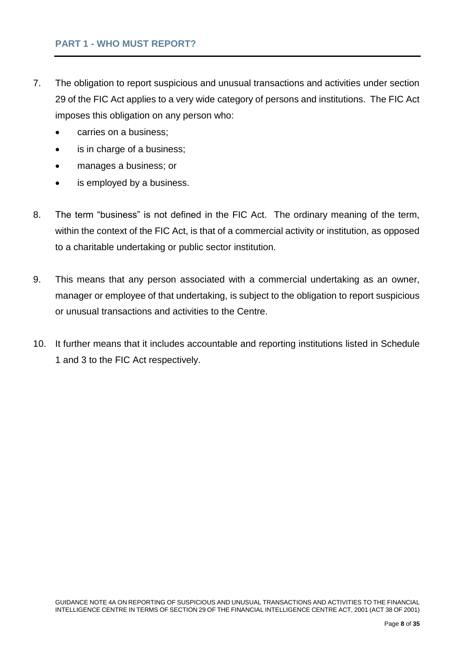#### <span id="page-10-0"></span>**PART 1 - WHO MUST REPORT?**

- 7. The obligation to report suspicious and unusual transactions and activities under section 29 of the FIC Act applies to a very wide category of persons and institutions. The FIC Act imposes this obligation on any person who:
	- carries on a business;
	- is in charge of a business;
	- manages a business; or
	- is employed by a business.
- 8. The term "business" is not defined in the FIC Act. The ordinary meaning of the term, within the context of the FIC Act, is that of a commercial activity or institution, as opposed to a charitable undertaking or public sector institution.
- 9. This means that any person associated with a commercial undertaking as an owner, manager or employee of that undertaking, is subject to the obligation to report suspicious or unusual transactions and activities to the Centre.
- 10. It further means that it includes accountable and reporting institutions listed in Schedule 1 and 3 to the FIC Act respectively.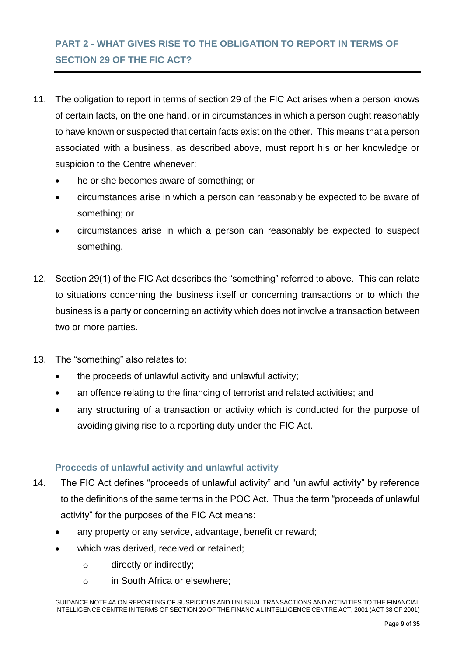## <span id="page-11-0"></span>**PART 2 - WHAT GIVES RISE TO THE OBLIGATION TO REPORT IN TERMS OF SECTION 29 OF THE FIC ACT?**

- 11. The obligation to report in terms of section 29 of the FIC Act arises when a person knows of certain facts, on the one hand, or in circumstances in which a person ought reasonably to have known or suspected that certain facts exist on the other. This means that a person associated with a business, as described above, must report his or her knowledge or suspicion to the Centre whenever:
	- he or she becomes aware of something; or
	- circumstances arise in which a person can reasonably be expected to be aware of something; or
	- circumstances arise in which a person can reasonably be expected to suspect something.
- 12. Section 29(1) of the FIC Act describes the "something" referred to above. This can relate to situations concerning the business itself or concerning transactions or to which the business is a party or concerning an activity which does not involve a transaction between two or more parties.
- 13. The "something" also relates to:
	- the proceeds of unlawful activity and unlawful activity;
	- an offence relating to the financing of terrorist and related activities; and
	- any structuring of a transaction or activity which is conducted for the purpose of avoiding giving rise to a reporting duty under the FIC Act.

### <span id="page-11-1"></span>**Proceeds of unlawful activity and unlawful activity**

- 14. The FIC Act defines "proceeds of unlawful activity" and "unlawful activity" by reference to the definitions of the same terms in the POC Act. Thus the term "proceeds of unlawful activity" for the purposes of the FIC Act means:
	- any property or any service, advantage, benefit or reward;
	- which was derived, received or retained;
		- o directly or indirectly;
		- o in South Africa or elsewhere;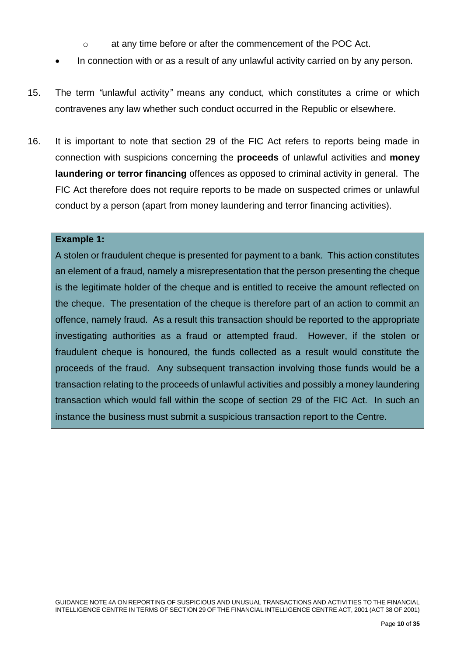- o at any time before or after the commencement of the POC Act.
- In connection with or as a result of any unlawful activity carried on by any person.
- 15. The term *"*unlawful activity*"* means any conduct, which constitutes a crime or which contravenes any law whether such conduct occurred in the Republic or elsewhere.
- 16. It is important to note that section 29 of the FIC Act refers to reports being made in connection with suspicions concerning the **proceeds** of unlawful activities and **money laundering or terror financing** offences as opposed to criminal activity in general. The FIC Act therefore does not require reports to be made on suspected crimes or unlawful conduct by a person (apart from money laundering and terror financing activities).

#### **Example 1:**

A stolen or fraudulent cheque is presented for payment to a bank. This action constitutes an element of a fraud, namely a misrepresentation that the person presenting the cheque is the legitimate holder of the cheque and is entitled to receive the amount reflected on the cheque. The presentation of the cheque is therefore part of an action to commit an offence, namely fraud. As a result this transaction should be reported to the appropriate investigating authorities as a fraud or attempted fraud. However, if the stolen or fraudulent cheque is honoured, the funds collected as a result would constitute the proceeds of the fraud. Any subsequent transaction involving those funds would be a transaction relating to the proceeds of unlawful activities and possibly a money laundering transaction which would fall within the scope of section 29 of the FIC Act. In such an instance the business must submit a suspicious transaction report to the Centre.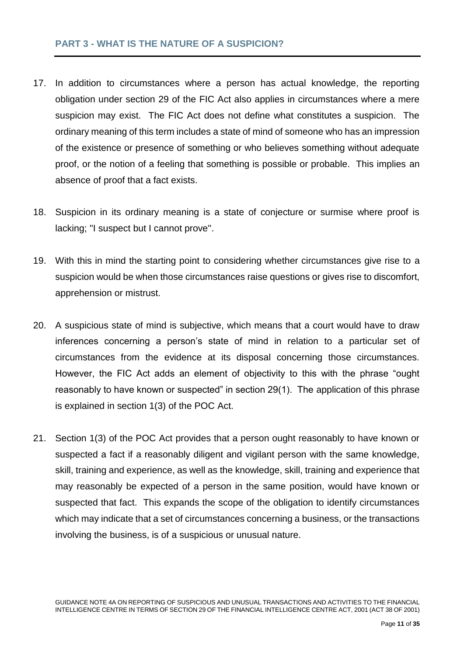### <span id="page-13-0"></span>**PART 3 - WHAT IS THE NATURE OF A SUSPICION?**

- 17. In addition to circumstances where a person has actual knowledge, the reporting obligation under section 29 of the FIC Act also applies in circumstances where a mere suspicion may exist. The FIC Act does not define what constitutes a suspicion. The ordinary meaning of this term includes a state of mind of someone who has an impression of the existence or presence of something or who believes something without adequate proof, or the notion of a feeling that something is possible or probable. This implies an absence of proof that a fact exists.
- 18. Suspicion in its ordinary meaning is a state of conjecture or surmise where proof is lacking; ''I suspect but I cannot prove''.
- 19. With this in mind the starting point to considering whether circumstances give rise to a suspicion would be when those circumstances raise questions or gives rise to discomfort, apprehension or mistrust.
- 20. A suspicious state of mind is subjective, which means that a court would have to draw inferences concerning a person's state of mind in relation to a particular set of circumstances from the evidence at its disposal concerning those circumstances. However, the FIC Act adds an element of objectivity to this with the phrase "ought reasonably to have known or suspected" in section 29(1). The application of this phrase is explained in section 1(3) of the POC Act.
- 21. Section 1(3) of the POC Act provides that a person ought reasonably to have known or suspected a fact if a reasonably diligent and vigilant person with the same knowledge, skill, training and experience, as well as the knowledge, skill, training and experience that may reasonably be expected of a person in the same position, would have known or suspected that fact. This expands the scope of the obligation to identify circumstances which may indicate that a set of circumstances concerning a business, or the transactions involving the business, is of a suspicious or unusual nature.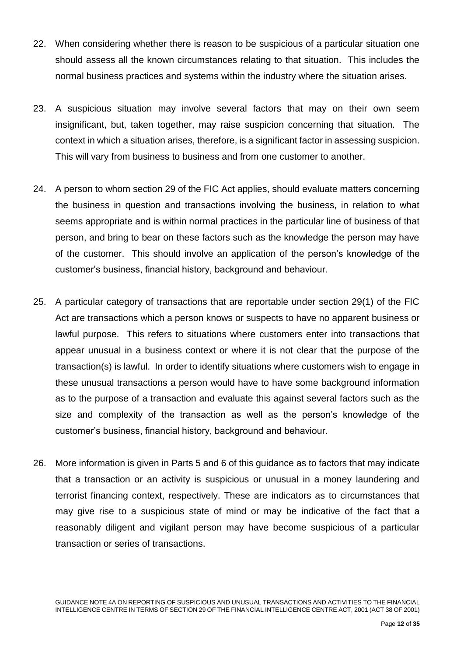- 22. When considering whether there is reason to be suspicious of a particular situation one should assess all the known circumstances relating to that situation. This includes the normal business practices and systems within the industry where the situation arises.
- 23. A suspicious situation may involve several factors that may on their own seem insignificant, but, taken together, may raise suspicion concerning that situation. The context in which a situation arises, therefore, is a significant factor in assessing suspicion. This will vary from business to business and from one customer to another.
- 24. A person to whom section 29 of the FIC Act applies, should evaluate matters concerning the business in question and transactions involving the business, in relation to what seems appropriate and is within normal practices in the particular line of business of that person, and bring to bear on these factors such as the knowledge the person may have of the customer. This should involve an application of the person's knowledge of the customer's business, financial history, background and behaviour.
- 25. A particular category of transactions that are reportable under section 29(1) of the FIC Act are transactions which a person knows or suspects to have no apparent business or lawful purpose. This refers to situations where customers enter into transactions that appear unusual in a business context or where it is not clear that the purpose of the transaction(s) is lawful. In order to identify situations where customers wish to engage in these unusual transactions a person would have to have some background information as to the purpose of a transaction and evaluate this against several factors such as the size and complexity of the transaction as well as the person's knowledge of the customer's business, financial history, background and behaviour.
- 26. More information is given in Parts 5 and 6 of this guidance as to factors that may indicate that a transaction or an activity is suspicious or unusual in a money laundering and terrorist financing context, respectively. These are indicators as to circumstances that may give rise to a suspicious state of mind or may be indicative of the fact that a reasonably diligent and vigilant person may have become suspicious of a particular transaction or series of transactions.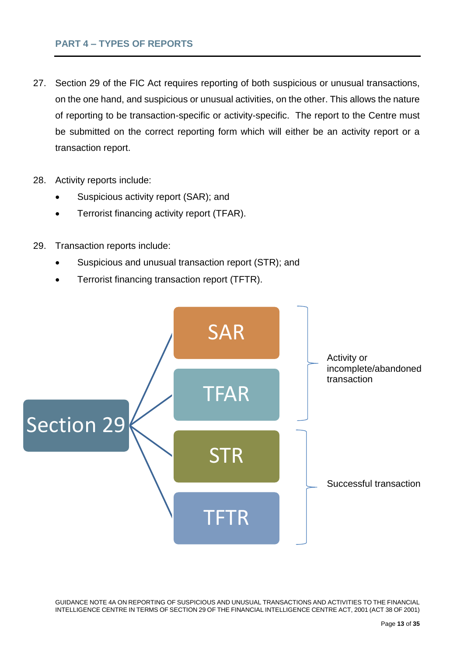## <span id="page-15-0"></span>**PART 4 – TYPES OF REPORTS**

- 27. Section 29 of the FIC Act requires reporting of both suspicious or unusual transactions, on the one hand, and suspicious or unusual activities, on the other. This allows the nature of reporting to be transaction-specific or activity-specific. The report to the Centre must be submitted on the correct reporting form which will either be an activity report or a transaction report.
- 28. Activity reports include:
	- Suspicious activity report (SAR); and
	- Terrorist financing activity report (TFAR).
- 29. Transaction reports include:
	- Suspicious and unusual transaction report (STR); and
	- Terrorist financing transaction report (TFTR).



GUIDANCE NOTE 4A ON REPORTING OF SUSPICIOUS AND UNUSUAL TRANSACTIONS AND ACTIVITIES TO THE FINANCIAL INTELLIGENCE CENTRE IN TERMS OF SECTION 29 OF THE FINANCIAL INTELLIGENCE CENTRE ACT, 2001 (ACT 38 OF 2001)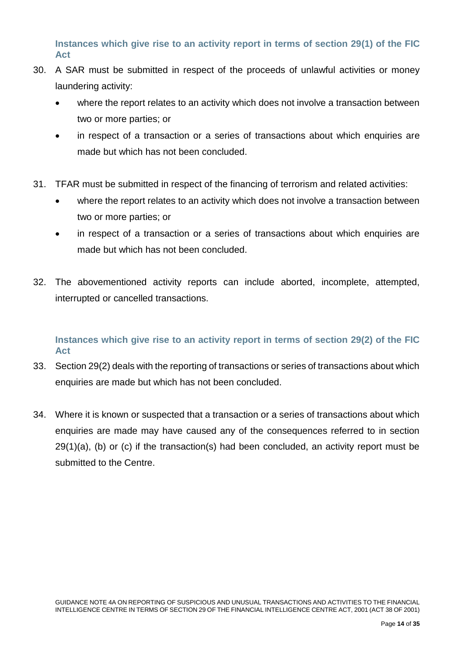<span id="page-16-0"></span>**Instances which give rise to an activity report in terms of section 29(1) of the FIC Act**

- 30. A SAR must be submitted in respect of the proceeds of unlawful activities or money laundering activity:
	- where the report relates to an activity which does not involve a transaction between two or more parties; or
	- in respect of a transaction or a series of transactions about which enquiries are made but which has not been concluded.
- 31. TFAR must be submitted in respect of the financing of terrorism and related activities:
	- where the report relates to an activity which does not involve a transaction between two or more parties; or
	- in respect of a transaction or a series of transactions about which enquiries are made but which has not been concluded.
- 32. The abovementioned activity reports can include aborted, incomplete, attempted, interrupted or cancelled transactions.

## <span id="page-16-1"></span>**Instances which give rise to an activity report in terms of section 29(2) of the FIC Act**

- 33. Section 29(2) deals with the reporting of transactions or series of transactions about which enquiries are made but which has not been concluded.
- 34. Where it is known or suspected that a transaction or a series of transactions about which enquiries are made may have caused any of the consequences referred to in section  $29(1)(a)$ , (b) or (c) if the transaction(s) had been concluded, an activity report must be submitted to the Centre.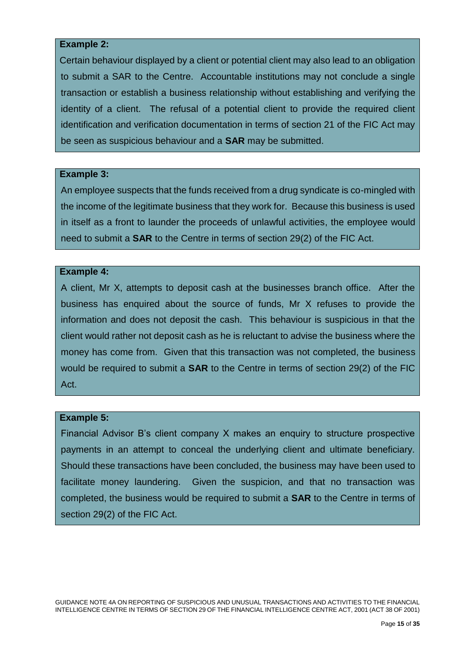#### **Example 2:**

Certain behaviour displayed by a client or potential client may also lead to an obligation to submit a SAR to the Centre. Accountable institutions may not conclude a single transaction or establish a business relationship without establishing and verifying the identity of a client. The refusal of a potential client to provide the required client identification and verification documentation in terms of section 21 of the FIC Act may be seen as suspicious behaviour and a **SAR** may be submitted.

#### **Example 3:**

An employee suspects that the funds received from a drug syndicate is co-mingled with the income of the legitimate business that they work for. Because this business is used in itself as a front to launder the proceeds of unlawful activities, the employee would need to submit a **SAR** to the Centre in terms of section 29(2) of the FIC Act.

#### **Example 4:**

A client, Mr X, attempts to deposit cash at the businesses branch office. After the business has enquired about the source of funds, Mr X refuses to provide the information and does not deposit the cash. This behaviour is suspicious in that the client would rather not deposit cash as he is reluctant to advise the business where the money has come from. Given that this transaction was not completed, the business would be required to submit a **SAR** to the Centre in terms of section 29(2) of the FIC Act.

#### **Example 5:**

Financial Advisor B's client company X makes an enquiry to structure prospective payments in an attempt to conceal the underlying client and ultimate beneficiary. Should these transactions have been concluded, the business may have been used to facilitate money laundering. Given the suspicion, and that no transaction was completed, the business would be required to submit a **SAR** to the Centre in terms of section 29(2) of the FIC Act.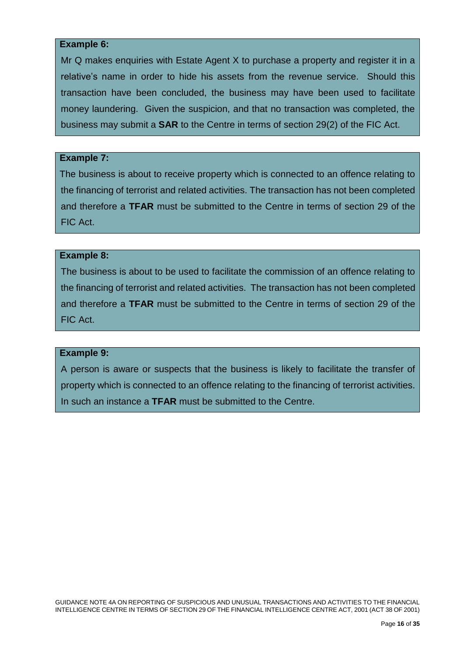#### **Example 6:**

Mr Q makes enquiries with Estate Agent X to purchase a property and register it in a relative's name in order to hide his assets from the revenue service. Should this transaction have been concluded, the business may have been used to facilitate money laundering. Given the suspicion, and that no transaction was completed, the business may submit a **SAR** to the Centre in terms of section 29(2) of the FIC Act.

#### **Example 7:**

The business is about to receive property which is connected to an offence relating to the financing of terrorist and related activities. The transaction has not been completed and therefore a **TFAR** must be submitted to the Centre in terms of section 29 of the FIC Act.

#### **Example 8:**

The business is about to be used to facilitate the commission of an offence relating to the financing of terrorist and related activities. The transaction has not been completed and therefore a **TFAR** must be submitted to the Centre in terms of section 29 of the FIC Act.

#### **Example 9:**

A person is aware or suspects that the business is likely to facilitate the transfer of property which is connected to an offence relating to the financing of terrorist activities. In such an instance a **TFAR** must be submitted to the Centre.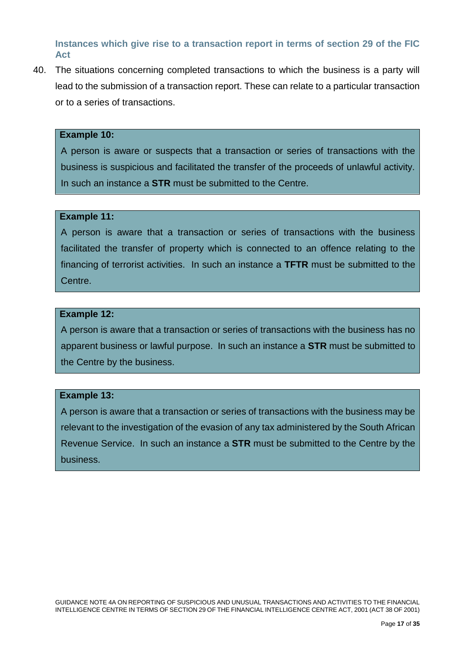## <span id="page-19-0"></span>**Instances which give rise to a transaction report in terms of section 29 of the FIC Act**

40. The situations concerning completed transactions to which the business is a party will lead to the submission of a transaction report. These can relate to a particular transaction or to a series of transactions.

#### **Example 10:**

A person is aware or suspects that a transaction or series of transactions with the business is suspicious and facilitated the transfer of the proceeds of unlawful activity. In such an instance a **STR** must be submitted to the Centre.

#### **Example 11:**

A person is aware that a transaction or series of transactions with the business facilitated the transfer of property which is connected to an offence relating to the financing of terrorist activities. In such an instance a **TFTR** must be submitted to the Centre.

#### **Example 12:**

A person is aware that a transaction or series of transactions with the business has no apparent business or lawful purpose. In such an instance a **STR** must be submitted to the Centre by the business.

#### **Example 13:**

A person is aware that a transaction or series of transactions with the business may be relevant to the investigation of the evasion of any tax administered by the South African Revenue Service. In such an instance a **STR** must be submitted to the Centre by the business.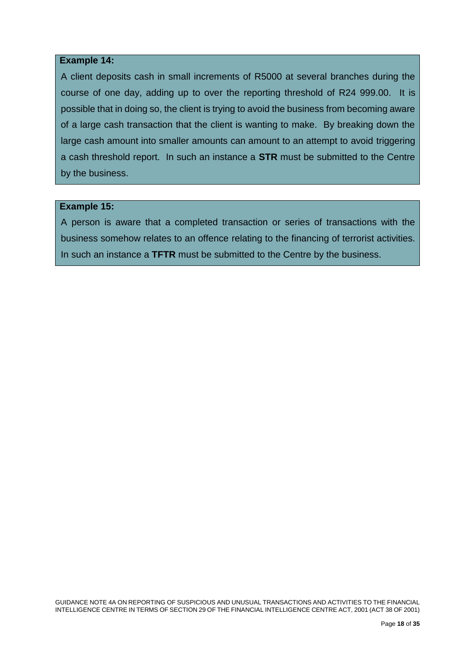#### **Example 14:**

A client deposits cash in small increments of R5000 at several branches during the course of one day, adding up to over the reporting threshold of R24 999.00. It is possible that in doing so, the client is trying to avoid the business from becoming aware of a large cash transaction that the client is wanting to make. By breaking down the large cash amount into smaller amounts can amount to an attempt to avoid triggering a cash threshold report. In such an instance a **STR** must be submitted to the Centre by the business.

#### **Example 15:**

A person is aware that a completed transaction or series of transactions with the business somehow relates to an offence relating to the financing of terrorist activities. In such an instance a **TFTR** must be submitted to the Centre by the business.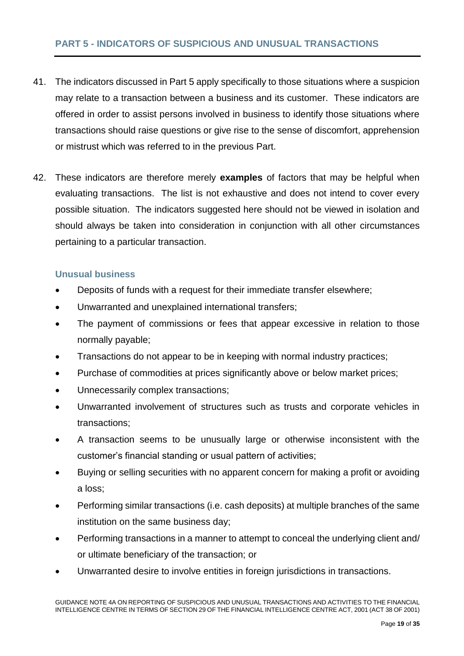## <span id="page-21-0"></span>**PART 5 - INDICATORS OF SUSPICIOUS AND UNUSUAL TRANSACTIONS**

- 41. The indicators discussed in Part 5 apply specifically to those situations where a suspicion may relate to a transaction between a business and its customer. These indicators are offered in order to assist persons involved in business to identify those situations where transactions should raise questions or give rise to the sense of discomfort, apprehension or mistrust which was referred to in the previous Part.
- 42. These indicators are therefore merely **examples** of factors that may be helpful when evaluating transactions. The list is not exhaustive and does not intend to cover every possible situation. The indicators suggested here should not be viewed in isolation and should always be taken into consideration in conjunction with all other circumstances pertaining to a particular transaction.

#### <span id="page-21-1"></span>**Unusual business**

- Deposits of funds with a request for their immediate transfer elsewhere;
- Unwarranted and unexplained international transfers;
- The payment of commissions or fees that appear excessive in relation to those normally payable;
- Transactions do not appear to be in keeping with normal industry practices;
- Purchase of commodities at prices significantly above or below market prices;
- Unnecessarily complex transactions;
- Unwarranted involvement of structures such as trusts and corporate vehicles in transactions;
- A transaction seems to be unusually large or otherwise inconsistent with the customer's financial standing or usual pattern of activities;
- Buying or selling securities with no apparent concern for making a profit or avoiding a loss;
- Performing similar transactions (i.e. cash deposits) at multiple branches of the same institution on the same business day;
- Performing transactions in a manner to attempt to conceal the underlying client and/ or ultimate beneficiary of the transaction; or
- Unwarranted desire to involve entities in foreign jurisdictions in transactions.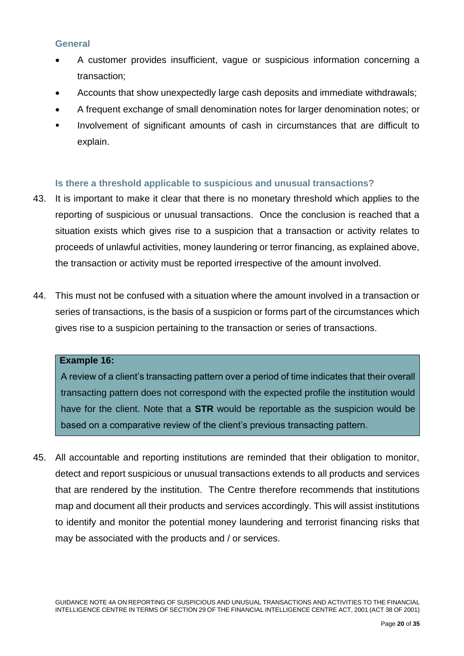### <span id="page-22-0"></span>**General**

- A customer provides insufficient, vague or suspicious information concerning a transaction;
- Accounts that show unexpectedly large cash deposits and immediate withdrawals;
- A frequent exchange of small denomination notes for larger denomination notes; or
- Involvement of significant amounts of cash in circumstances that are difficult to explain.

### <span id="page-22-1"></span>**Is there a threshold applicable to suspicious and unusual transactions?**

- 43. It is important to make it clear that there is no monetary threshold which applies to the reporting of suspicious or unusual transactions. Once the conclusion is reached that a situation exists which gives rise to a suspicion that a transaction or activity relates to proceeds of unlawful activities, money laundering or terror financing, as explained above, the transaction or activity must be reported irrespective of the amount involved.
- 44. This must not be confused with a situation where the amount involved in a transaction or series of transactions, is the basis of a suspicion or forms part of the circumstances which gives rise to a suspicion pertaining to the transaction or series of transactions.

#### **Example 16:**

A review of a client's transacting pattern over a period of time indicates that their overall transacting pattern does not correspond with the expected profile the institution would have for the client. Note that a **STR** would be reportable as the suspicion would be based on a comparative review of the client's previous transacting pattern.

45. All accountable and reporting institutions are reminded that their obligation to monitor, detect and report suspicious or unusual transactions extends to all products and services that are rendered by the institution. The Centre therefore recommends that institutions map and document all their products and services accordingly. This will assist institutions to identify and monitor the potential money laundering and terrorist financing risks that may be associated with the products and / or services.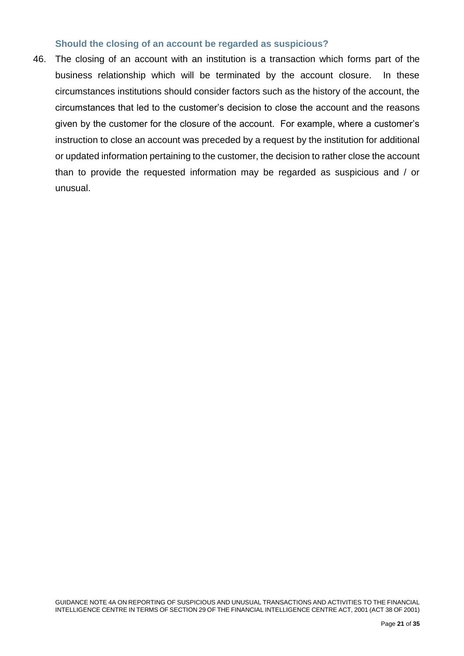#### **Should the closing of an account be regarded as suspicious?**

46. The closing of an account with an institution is a transaction which forms part of the business relationship which will be terminated by the account closure. In these circumstances institutions should consider factors such as the history of the account, the circumstances that led to the customer's decision to close the account and the reasons given by the customer for the closure of the account. For example, where a customer's instruction to close an account was preceded by a request by the institution for additional or updated information pertaining to the customer, the decision to rather close the account than to provide the requested information may be regarded as suspicious and / or unusual.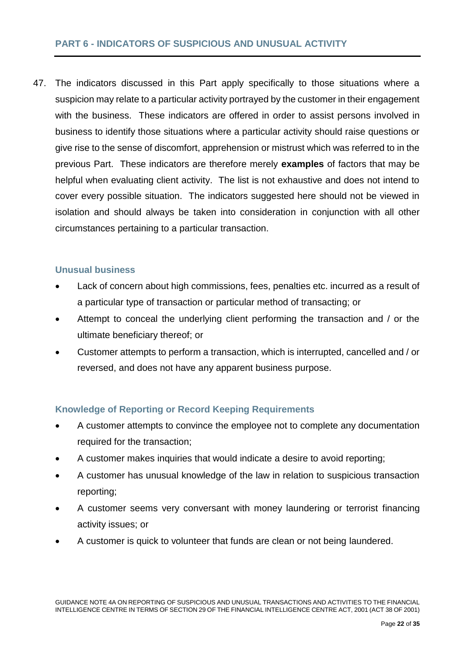## <span id="page-24-0"></span>**PART 6 - INDICATORS OF SUSPICIOUS AND UNUSUAL ACTIVITY**

47. The indicators discussed in this Part apply specifically to those situations where a suspicion may relate to a particular activity portrayed by the customer in their engagement with the business. These indicators are offered in order to assist persons involved in business to identify those situations where a particular activity should raise questions or give rise to the sense of discomfort, apprehension or mistrust which was referred to in the previous Part. These indicators are therefore merely **examples** of factors that may be helpful when evaluating client activity. The list is not exhaustive and does not intend to cover every possible situation. The indicators suggested here should not be viewed in isolation and should always be taken into consideration in conjunction with all other circumstances pertaining to a particular transaction.

### <span id="page-24-1"></span>**Unusual business**

- Lack of concern about high commissions, fees, penalties etc. incurred as a result of a particular type of transaction or particular method of transacting; or
- Attempt to conceal the underlying client performing the transaction and / or the ultimate beneficiary thereof; or
- Customer attempts to perform a transaction, which is interrupted, cancelled and / or reversed, and does not have any apparent business purpose.

### <span id="page-24-2"></span>**Knowledge of Reporting or Record Keeping Requirements**

- A customer attempts to convince the employee not to complete any documentation required for the transaction;
- A customer makes inquiries that would indicate a desire to avoid reporting;
- A customer has unusual knowledge of the law in relation to suspicious transaction reporting;
- A customer seems very conversant with money laundering or terrorist financing activity issues; or
- A customer is quick to volunteer that funds are clean or not being laundered.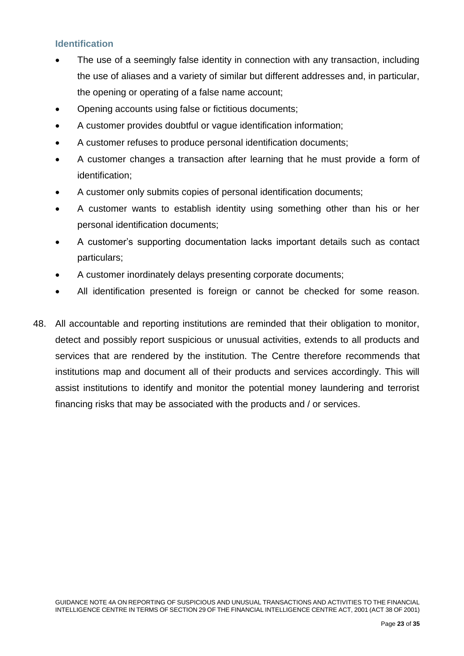## <span id="page-25-0"></span>**Identification**

- The use of a seemingly false identity in connection with any transaction, including the use of aliases and a variety of similar but different addresses and, in particular, the opening or operating of a false name account;
- Opening accounts using false or fictitious documents;
- A customer provides doubtful or vague identification information;
- A customer refuses to produce personal identification documents;
- A customer changes a transaction after learning that he must provide a form of identification;
- A customer only submits copies of personal identification documents;
- A customer wants to establish identity using something other than his or her personal identification documents;
- A customer's supporting documentation lacks important details such as contact particulars;
- A customer inordinately delays presenting corporate documents;
- All identification presented is foreign or cannot be checked for some reason.
- 48. All accountable and reporting institutions are reminded that their obligation to monitor, detect and possibly report suspicious or unusual activities, extends to all products and services that are rendered by the institution. The Centre therefore recommends that institutions map and document all of their products and services accordingly. This will assist institutions to identify and monitor the potential money laundering and terrorist financing risks that may be associated with the products and / or services.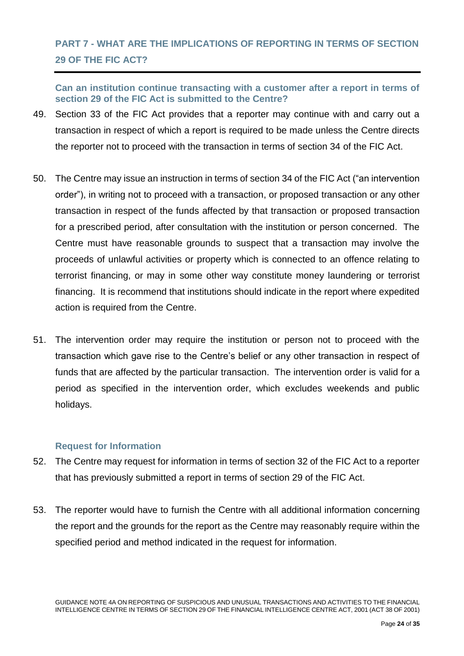## <span id="page-26-0"></span>**PART 7 - WHAT ARE THE IMPLICATIONS OF REPORTING IN TERMS OF SECTION 29 OF THE FIC ACT?**

<span id="page-26-1"></span>**Can an institution continue transacting with a customer after a report in terms of section 29 of the FIC Act is submitted to the Centre?**

- 49. Section 33 of the FIC Act provides that a reporter may continue with and carry out a transaction in respect of which a report is required to be made unless the Centre directs the reporter not to proceed with the transaction in terms of section 34 of the FIC Act.
- 50. The Centre may issue an instruction in terms of section 34 of the FIC Act ("an intervention order"), in writing not to proceed with a transaction, or proposed transaction or any other transaction in respect of the funds affected by that transaction or proposed transaction for a prescribed period, after consultation with the institution or person concerned. The Centre must have reasonable grounds to suspect that a transaction may involve the proceeds of unlawful activities or property which is connected to an offence relating to terrorist financing, or may in some other way constitute money laundering or terrorist financing. It is recommend that institutions should indicate in the report where expedited action is required from the Centre.
- 51. The intervention order may require the institution or person not to proceed with the transaction which gave rise to the Centre's belief or any other transaction in respect of funds that are affected by the particular transaction. The intervention order is valid for a period as specified in the intervention order, which excludes weekends and public holidays.

### <span id="page-26-2"></span>**Request for Information**

- 52. The Centre may request for information in terms of section 32 of the FIC Act to a reporter that has previously submitted a report in terms of section 29 of the FIC Act.
- 53. The reporter would have to furnish the Centre with all additional information concerning the report and the grounds for the report as the Centre may reasonably require within the specified period and method indicated in the request for information.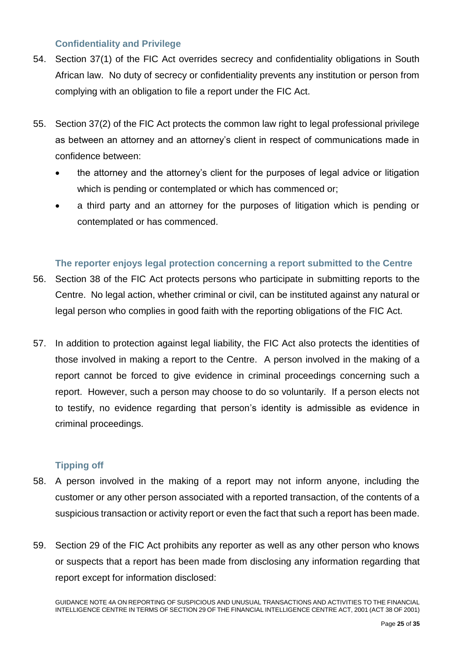## <span id="page-27-0"></span>**Confidentiality and Privilege**

- 54. Section 37(1) of the FIC Act overrides secrecy and confidentiality obligations in South African law. No duty of secrecy or confidentiality prevents any institution or person from complying with an obligation to file a report under the FIC Act.
- 55. Section 37(2) of the FIC Act protects the common law right to legal professional privilege as between an attorney and an attorney's client in respect of communications made in confidence between:
	- the attorney and the attorney's client for the purposes of legal advice or litigation which is pending or contemplated or which has commenced or;
	- a third party and an attorney for the purposes of litigation which is pending or contemplated or has commenced.

## <span id="page-27-1"></span>**The reporter enjoys legal protection concerning a report submitted to the Centre**

- 56. Section 38 of the FIC Act protects persons who participate in submitting reports to the Centre. No legal action, whether criminal or civil, can be instituted against any natural or legal person who complies in good faith with the reporting obligations of the FIC Act.
- 57. In addition to protection against legal liability, the FIC Act also protects the identities of those involved in making a report to the Centre. A person involved in the making of a report cannot be forced to give evidence in criminal proceedings concerning such a report. However, such a person may choose to do so voluntarily. If a person elects not to testify, no evidence regarding that person's identity is admissible as evidence in criminal proceedings.

### <span id="page-27-2"></span>**Tipping off**

- 58. A person involved in the making of a report may not inform anyone, including the customer or any other person associated with a reported transaction, of the contents of a suspicious transaction or activity report or even the fact that such a report has been made.
- 59. Section 29 of the FIC Act prohibits any reporter as well as any other person who knows or suspects that a report has been made from disclosing any information regarding that report except for information disclosed:

GUIDANCE NOTE 4A ON REPORTING OF SUSPICIOUS AND UNUSUAL TRANSACTIONS AND ACTIVITIES TO THE FINANCIAL INTELLIGENCE CENTRE IN TERMS OF SECTION 29 OF THE FINANCIAL INTELLIGENCE CENTRE ACT, 2001 (ACT 38 OF 2001)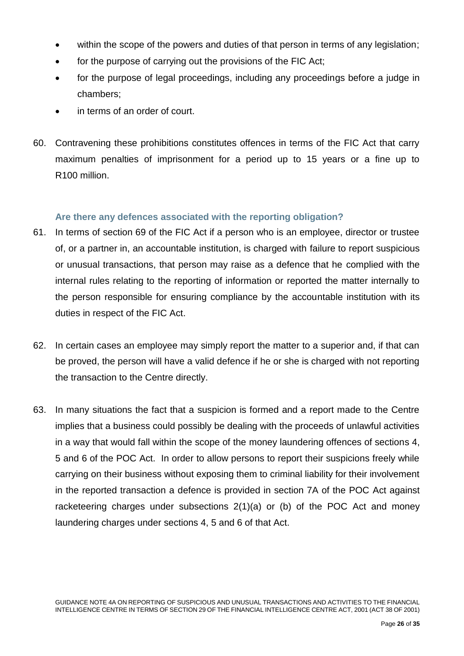- within the scope of the powers and duties of that person in terms of any legislation;
- for the purpose of carrying out the provisions of the FIC Act;
- for the purpose of legal proceedings, including any proceedings before a judge in chambers;
- in terms of an order of court.
- 60. Contravening these prohibitions constitutes offences in terms of the FIC Act that carry maximum penalties of imprisonment for a period up to 15 years or a fine up to R100 million.

### <span id="page-28-0"></span>**Are there any defences associated with the reporting obligation?**

- 61. In terms of section 69 of the FIC Act if a person who is an employee, director or trustee of, or a partner in, an accountable institution, is charged with failure to report suspicious or unusual transactions, that person may raise as a defence that he complied with the internal rules relating to the reporting of information or reported the matter internally to the person responsible for ensuring compliance by the accountable institution with its duties in respect of the FIC Act.
- 62. In certain cases an employee may simply report the matter to a superior and, if that can be proved, the person will have a valid defence if he or she is charged with not reporting the transaction to the Centre directly.
- 63. In many situations the fact that a suspicion is formed and a report made to the Centre implies that a business could possibly be dealing with the proceeds of unlawful activities in a way that would fall within the scope of the money laundering offences of sections 4, 5 and 6 of the POC Act. In order to allow persons to report their suspicions freely while carrying on their business without exposing them to criminal liability for their involvement in the reported transaction a defence is provided in section 7A of the POC Act against racketeering charges under subsections 2(1)(a) or (b) of the POC Act and money laundering charges under sections 4, 5 and 6 of that Act.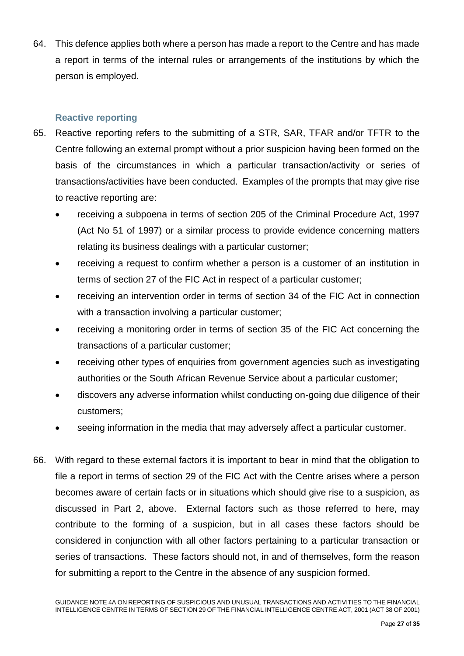64. This defence applies both where a person has made a report to the Centre and has made a report in terms of the internal rules or arrangements of the institutions by which the person is employed.

## <span id="page-29-0"></span>**Reactive reporting**

- 65. Reactive reporting refers to the submitting of a STR, SAR, TFAR and/or TFTR to the Centre following an external prompt without a prior suspicion having been formed on the basis of the circumstances in which a particular transaction/activity or series of transactions/activities have been conducted. Examples of the prompts that may give rise to reactive reporting are:
	- receiving a subpoena in terms of section 205 of the Criminal Procedure Act, 1997 (Act No 51 of 1997) or a similar process to provide evidence concerning matters relating its business dealings with a particular customer;
	- receiving a request to confirm whether a person is a customer of an institution in terms of section 27 of the FIC Act in respect of a particular customer;
	- receiving an intervention order in terms of section 34 of the FIC Act in connection with a transaction involving a particular customer;
	- receiving a monitoring order in terms of section 35 of the FIC Act concerning the transactions of a particular customer;
	- receiving other types of enquiries from government agencies such as investigating authorities or the South African Revenue Service about a particular customer;
	- discovers any adverse information whilst conducting on-going due diligence of their customers;
	- seeing information in the media that may adversely affect a particular customer.
- 66. With regard to these external factors it is important to bear in mind that the obligation to file a report in terms of section 29 of the FIC Act with the Centre arises where a person becomes aware of certain facts or in situations which should give rise to a suspicion, as discussed in Part 2, above. External factors such as those referred to here, may contribute to the forming of a suspicion, but in all cases these factors should be considered in conjunction with all other factors pertaining to a particular transaction or series of transactions. These factors should not, in and of themselves, form the reason for submitting a report to the Centre in the absence of any suspicion formed.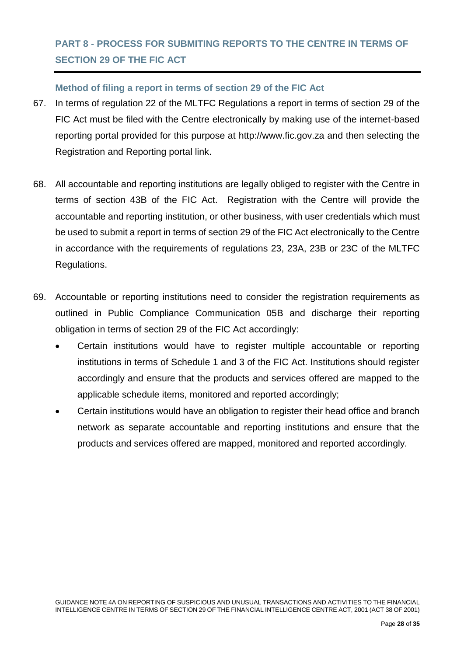## <span id="page-30-0"></span>**PART 8 - PROCESS FOR SUBMITING REPORTS TO THE CENTRE IN TERMS OF SECTION 29 OF THE FIC ACT**

## <span id="page-30-1"></span>**Method of filing a report in terms of section 29 of the FIC Act**

- 67. In terms of regulation 22 of the MLTFC Regulations a report in terms of section 29 of the FIC Act must be filed with the Centre electronically by making use of the internet-based reporting portal provided for this purpose at [http://www.fic.gov.za](http://www.fic.gov.za/) and then selecting the Registration and Reporting portal link.
- 68. All accountable and reporting institutions are legally obliged to register with the Centre in terms of section 43B of the FIC Act. Registration with the Centre will provide the accountable and reporting institution, or other business, with user credentials which must be used to submit a report in terms of section 29 of the FIC Act electronically to the Centre in accordance with the requirements of regulations 23, 23A, 23B or 23C of the MLTFC Regulations.
- 69. Accountable or reporting institutions need to consider the registration requirements as outlined in Public Compliance Communication 05B and discharge their reporting obligation in terms of section 29 of the FIC Act accordingly:
	- Certain institutions would have to register multiple accountable or reporting institutions in terms of Schedule 1 and 3 of the FIC Act. Institutions should register accordingly and ensure that the products and services offered are mapped to the applicable schedule items, monitored and reported accordingly;
	- Certain institutions would have an obligation to register their head office and branch network as separate accountable and reporting institutions and ensure that the products and services offered are mapped, monitored and reported accordingly.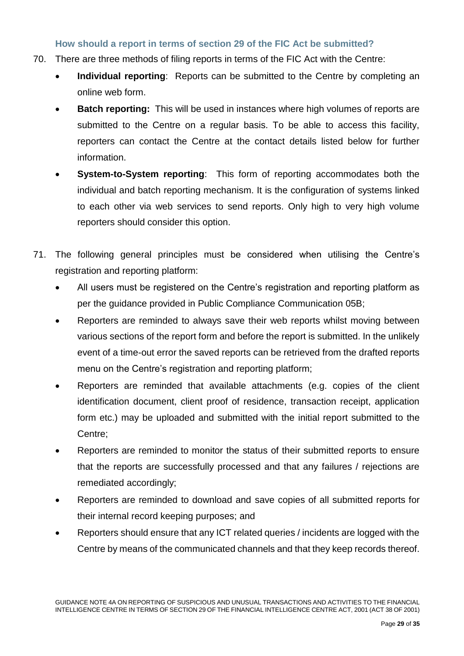### <span id="page-31-0"></span>**How should a report in terms of section 29 of the FIC Act be submitted?**

- 70. There are three methods of filing reports in terms of the FIC Act with the Centre:
	- **Individual reporting**: Reports can be submitted to the Centre by completing an online web form.
	- **Batch reporting:** This will be used in instances where high volumes of reports are submitted to the Centre on a regular basis. To be able to access this facility, reporters can contact the Centre at the contact details listed below for further information.
	- **System-to-System reporting**: This form of reporting accommodates both the individual and batch reporting mechanism. It is the configuration of systems linked to each other via web services to send reports. Only high to very high volume reporters should consider this option.
- 71. The following general principles must be considered when utilising the Centre's registration and reporting platform:
	- All users must be registered on the Centre's registration and reporting platform as per the guidance provided in Public Compliance Communication 05B;
	- Reporters are reminded to always save their web reports whilst moving between various sections of the report form and before the report is submitted. In the unlikely event of a time-out error the saved reports can be retrieved from the drafted reports menu on the Centre's registration and reporting platform;
	- Reporters are reminded that available attachments (e.g. copies of the client identification document, client proof of residence, transaction receipt, application form etc.) may be uploaded and submitted with the initial report submitted to the Centre;
	- Reporters are reminded to monitor the status of their submitted reports to ensure that the reports are successfully processed and that any failures / rejections are remediated accordingly;
	- Reporters are reminded to download and save copies of all submitted reports for their internal record keeping purposes; and
	- Reporters should ensure that any ICT related queries / incidents are logged with the Centre by means of the communicated channels and that they keep records thereof.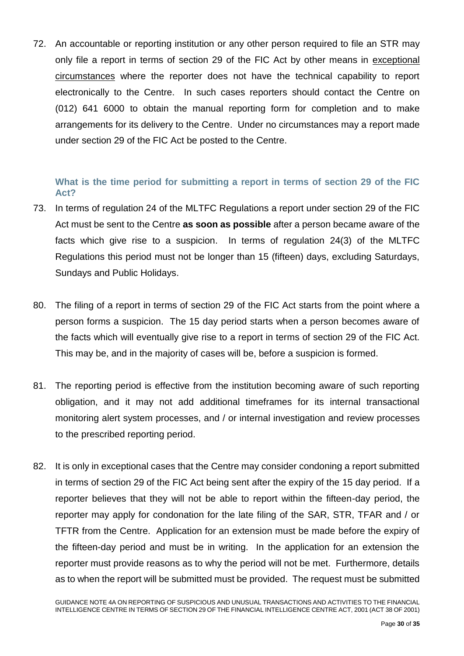72. An accountable or reporting institution or any other person required to file an STR may only file a report in terms of section 29 of the FIC Act by other means in exceptional circumstances where the reporter does not have the technical capability to report electronically to the Centre. In such cases reporters should contact the Centre on (012) 641 6000 to obtain the manual reporting form for completion and to make arrangements for its delivery to the Centre. Under no circumstances may a report made under section 29 of the FIC Act be posted to the Centre.

## <span id="page-32-0"></span>**What is the time period for submitting a report in terms of section 29 of the FIC Act?**

- 73. In terms of regulation 24 of the MLTFC Regulations a report under section 29 of the FIC Act must be sent to the Centre **as soon as possible** after a person became aware of the facts which give rise to a suspicion. In terms of regulation 24(3) of the MLTFC Regulations this period must not be longer than 15 (fifteen) days, excluding Saturdays, Sundays and Public Holidays.
- 80. The filing of a report in terms of section 29 of the FIC Act starts from the point where a person forms a suspicion. The 15 day period starts when a person becomes aware of the facts which will eventually give rise to a report in terms of section 29 of the FIC Act. This may be, and in the majority of cases will be, before a suspicion is formed.
- 81. The reporting period is effective from the institution becoming aware of such reporting obligation, and it may not add additional timeframes for its internal transactional monitoring alert system processes, and / or internal investigation and review processes to the prescribed reporting period.
- 82. It is only in exceptional cases that the Centre may consider condoning a report submitted in terms of section 29 of the FIC Act being sent after the expiry of the 15 day period. If a reporter believes that they will not be able to report within the fifteen-day period, the reporter may apply for condonation for the late filing of the SAR, STR, TFAR and / or TFTR from the Centre. Application for an extension must be made before the expiry of the fifteen-day period and must be in writing. In the application for an extension the reporter must provide reasons as to why the period will not be met. Furthermore, details as to when the report will be submitted must be provided. The request must be submitted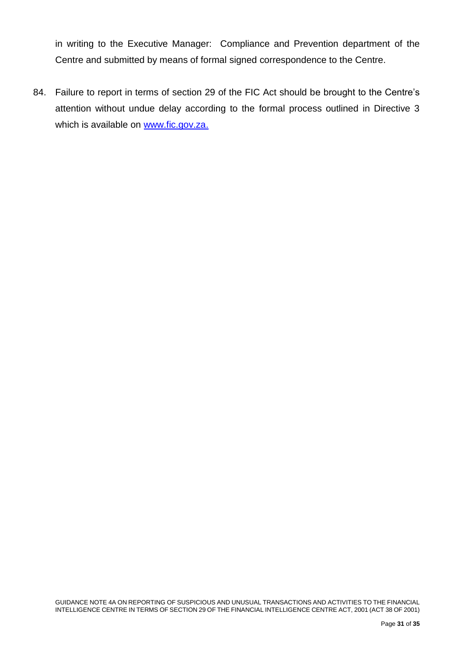in writing to the Executive Manager: Compliance and Prevention department of the Centre and submitted by means of formal signed correspondence to the Centre.

84. Failure to report in terms of section 29 of the FIC Act should be brought to the Centre's attention without undue delay according to the formal process outlined in Directive 3 which is available on [www.fic.gov.za.](http://www.fic.gov.za/)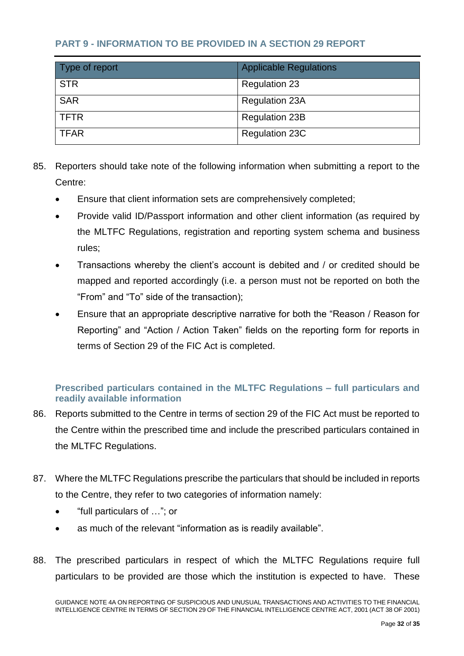## <span id="page-34-0"></span>**PART 9 - INFORMATION TO BE PROVIDED IN A SECTION 29 REPORT**

| Type of report | <b>Applicable Regulations</b> |
|----------------|-------------------------------|
| <b>STR</b>     | <b>Regulation 23</b>          |
| <b>SAR</b>     | <b>Regulation 23A</b>         |
| <b>TFTR</b>    | <b>Regulation 23B</b>         |
| <b>TFAR</b>    | <b>Regulation 23C</b>         |

- 85. Reporters should take note of the following information when submitting a report to the Centre:
	- Ensure that client information sets are comprehensively completed;
	- Provide valid ID/Passport information and other client information (as required by the MLTFC Regulations, registration and reporting system schema and business rules;
	- Transactions whereby the client's account is debited and / or credited should be mapped and reported accordingly (i.e. a person must not be reported on both the "From" and "To" side of the transaction);
	- Ensure that an appropriate descriptive narrative for both the "Reason / Reason for Reporting" and "Action / Action Taken" fields on the reporting form for reports in terms of Section 29 of the FIC Act is completed.

## <span id="page-34-1"></span>**Prescribed particulars contained in the MLTFC Regulations – full particulars and readily available information**

- 86. Reports submitted to the Centre in terms of section 29 of the FIC Act must be reported to the Centre within the prescribed time and include the prescribed particulars contained in the MLTFC Regulations.
- 87. Where the MLTFC Regulations prescribe the particulars that should be included in reports to the Centre, they refer to two categories of information namely:
	- "full particulars of …"; or
	- as much of the relevant "information as is readily available".
- 88. The prescribed particulars in respect of which the MLTFC Regulations require full particulars to be provided are those which the institution is expected to have. These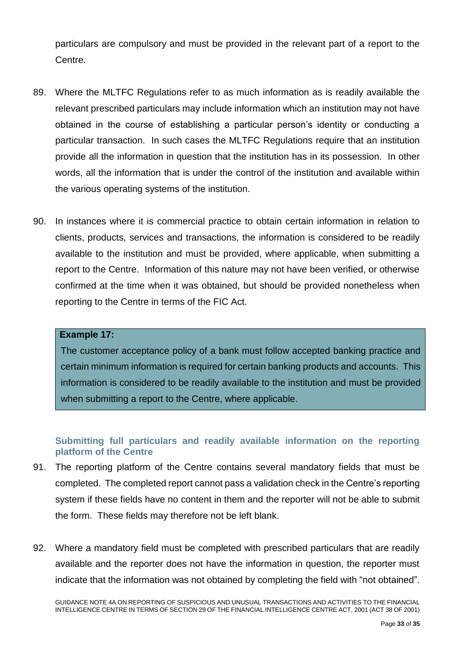particulars are compulsory and must be provided in the relevant part of a report to the Centre.

- 89. Where the MLTFC Regulations refer to as much information as is readily available the relevant prescribed particulars may include information which an institution may not have obtained in the course of establishing a particular person's identity or conducting a particular transaction. In such cases the MLTFC Regulations require that an institution provide all the information in question that the institution has in its possession. In other words, all the information that is under the control of the institution and available within the various operating systems of the institution.
- 90. In instances where it is commercial practice to obtain certain information in relation to clients, products, services and transactions, the information is considered to be readily available to the institution and must be provided, where applicable, when submitting a report to the Centre. Information of this nature may not have been verified, or otherwise confirmed at the time when it was obtained, but should be provided nonetheless when reporting to the Centre in terms of the FIC Act.

#### **Example 17:**

The customer acceptance policy of a bank must follow accepted banking practice and certain minimum information is required for certain banking products and accounts. This information is considered to be readily available to the institution and must be provided when submitting a report to the Centre, where applicable.

## <span id="page-35-0"></span>**Submitting full particulars and readily available information on the reporting platform of the Centre**

- 91. The reporting platform of the Centre contains several mandatory fields that must be completed. The completed report cannot pass a validation check in the Centre's reporting system if these fields have no content in them and the reporter will not be able to submit the form. These fields may therefore not be left blank.
- 92. Where a mandatory field must be completed with prescribed particulars that are readily available and the reporter does not have the information in question, the reporter must indicate that the information was not obtained by completing the field with "not obtained".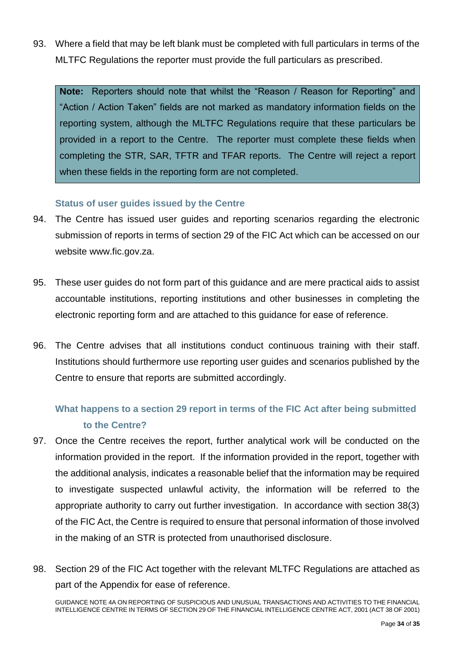93. Where a field that may be left blank must be completed with full particulars in terms of the MLTFC Regulations the reporter must provide the full particulars as prescribed.

**Note:** Reporters should note that whilst the "Reason / Reason for Reporting" and "Action / Action Taken" fields are not marked as mandatory information fields on the reporting system, although the MLTFC Regulations require that these particulars be provided in a report to the Centre. The reporter must complete these fields when completing the STR, SAR, TFTR and TFAR reports. The Centre will reject a report when these fields in the reporting form are not completed.

### **Status of user guides issued by the Centre**

- 94. The Centre has issued user guides and reporting scenarios regarding the electronic submission of reports in terms of section 29 of the FIC Act which can be accessed on our website [www.fic.gov.za.](http://www.fic.gov.za/)
- 95. These user guides do not form part of this guidance and are mere practical aids to assist accountable institutions, reporting institutions and other businesses in completing the electronic reporting form and are attached to this guidance for ease of reference.
- 96. The Centre advises that all institutions conduct continuous training with their staff. Institutions should furthermore use reporting user guides and scenarios published by the Centre to ensure that reports are submitted accordingly.

## **What happens to a section 29 report in terms of the FIC Act after being submitted to the Centre?**

- 97. Once the Centre receives the report, further analytical work will be conducted on the information provided in the report. If the information provided in the report, together with the additional analysis, indicates a reasonable belief that the information may be required to investigate suspected unlawful activity, the information will be referred to the appropriate authority to carry out further investigation. In accordance with section 38(3) of the FIC Act, the Centre is required to ensure that personal information of those involved in the making of an STR is protected from unauthorised disclosure.
- 98. Section 29 of the FIC Act together with the relevant MLTFC Regulations are attached as part of the Appendix for ease of reference.

GUIDANCE NOTE 4A ON REPORTING OF SUSPICIOUS AND UNUSUAL TRANSACTIONS AND ACTIVITIES TO THE FINANCIAL INTELLIGENCE CENTRE IN TERMS OF SECTION 29 OF THE FINANCIAL INTELLIGENCE CENTRE ACT, 2001 (ACT 38 OF 2001)